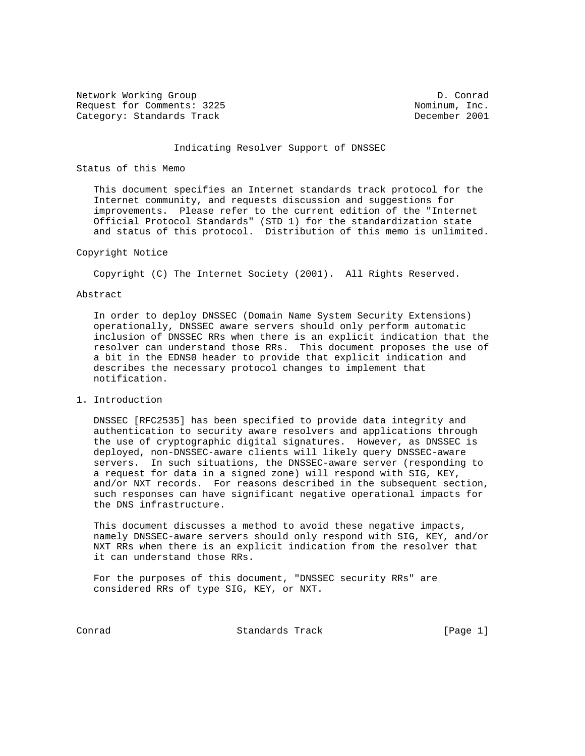Network Working Group D. Conrad Request for Comments: 3225 Nominum, Inc. Category: Standards Track December 2001

#### Indicating Resolver Support of DNSSEC

## Status of this Memo

 This document specifies an Internet standards track protocol for the Internet community, and requests discussion and suggestions for improvements. Please refer to the current edition of the "Internet Official Protocol Standards" (STD 1) for the standardization state and status of this protocol. Distribution of this memo is unlimited.

## Copyright Notice

Copyright (C) The Internet Society (2001). All Rights Reserved.

# Abstract

 In order to deploy DNSSEC (Domain Name System Security Extensions) operationally, DNSSEC aware servers should only perform automatic inclusion of DNSSEC RRs when there is an explicit indication that the resolver can understand those RRs. This document proposes the use of a bit in the EDNS0 header to provide that explicit indication and describes the necessary protocol changes to implement that notification.

1. Introduction

 DNSSEC [RFC2535] has been specified to provide data integrity and authentication to security aware resolvers and applications through the use of cryptographic digital signatures. However, as DNSSEC is deployed, non-DNSSEC-aware clients will likely query DNSSEC-aware servers. In such situations, the DNSSEC-aware server (responding to a request for data in a signed zone) will respond with SIG, KEY, and/or NXT records. For reasons described in the subsequent section, such responses can have significant negative operational impacts for the DNS infrastructure.

 This document discusses a method to avoid these negative impacts, namely DNSSEC-aware servers should only respond with SIG, KEY, and/or NXT RRs when there is an explicit indication from the resolver that it can understand those RRs.

 For the purposes of this document, "DNSSEC security RRs" are considered RRs of type SIG, KEY, or NXT.

Conrad Standards Track [Page 1]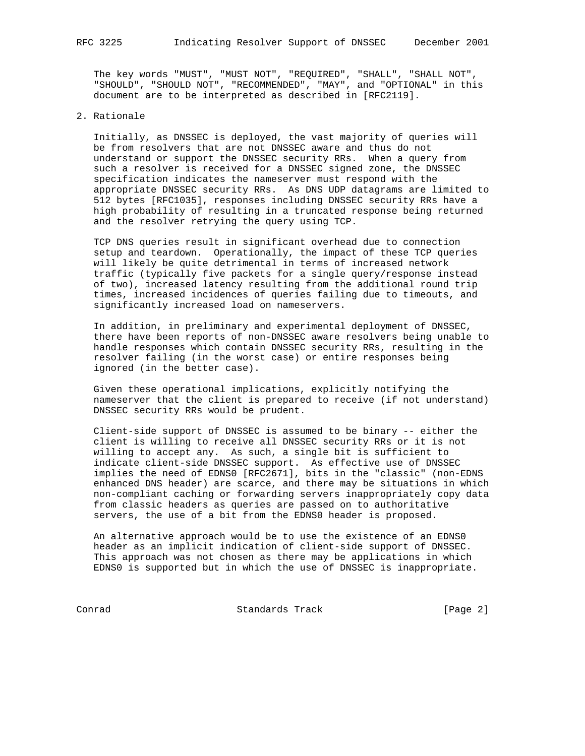The key words "MUST", "MUST NOT", "REQUIRED", "SHALL", "SHALL NOT", "SHOULD", "SHOULD NOT", "RECOMMENDED", "MAY", and "OPTIONAL" in this document are to be interpreted as described in [RFC2119].

# 2. Rationale

 Initially, as DNSSEC is deployed, the vast majority of queries will be from resolvers that are not DNSSEC aware and thus do not understand or support the DNSSEC security RRs. When a query from such a resolver is received for a DNSSEC signed zone, the DNSSEC specification indicates the nameserver must respond with the appropriate DNSSEC security RRs. As DNS UDP datagrams are limited to 512 bytes [RFC1035], responses including DNSSEC security RRs have a high probability of resulting in a truncated response being returned and the resolver retrying the query using TCP.

 TCP DNS queries result in significant overhead due to connection setup and teardown. Operationally, the impact of these TCP queries will likely be quite detrimental in terms of increased network traffic (typically five packets for a single query/response instead of two), increased latency resulting from the additional round trip times, increased incidences of queries failing due to timeouts, and significantly increased load on nameservers.

 In addition, in preliminary and experimental deployment of DNSSEC, there have been reports of non-DNSSEC aware resolvers being unable to handle responses which contain DNSSEC security RRs, resulting in the resolver failing (in the worst case) or entire responses being ignored (in the better case).

 Given these operational implications, explicitly notifying the nameserver that the client is prepared to receive (if not understand) DNSSEC security RRs would be prudent.

 Client-side support of DNSSEC is assumed to be binary -- either the client is willing to receive all DNSSEC security RRs or it is not willing to accept any. As such, a single bit is sufficient to indicate client-side DNSSEC support. As effective use of DNSSEC implies the need of EDNS0 [RFC2671], bits in the "classic" (non-EDNS enhanced DNS header) are scarce, and there may be situations in which non-compliant caching or forwarding servers inappropriately copy data from classic headers as queries are passed on to authoritative servers, the use of a bit from the EDNS0 header is proposed.

 An alternative approach would be to use the existence of an EDNS0 header as an implicit indication of client-side support of DNSSEC. This approach was not chosen as there may be applications in which EDNS0 is supported but in which the use of DNSSEC is inappropriate.

Conrad Conrad Standards Track [Page 2]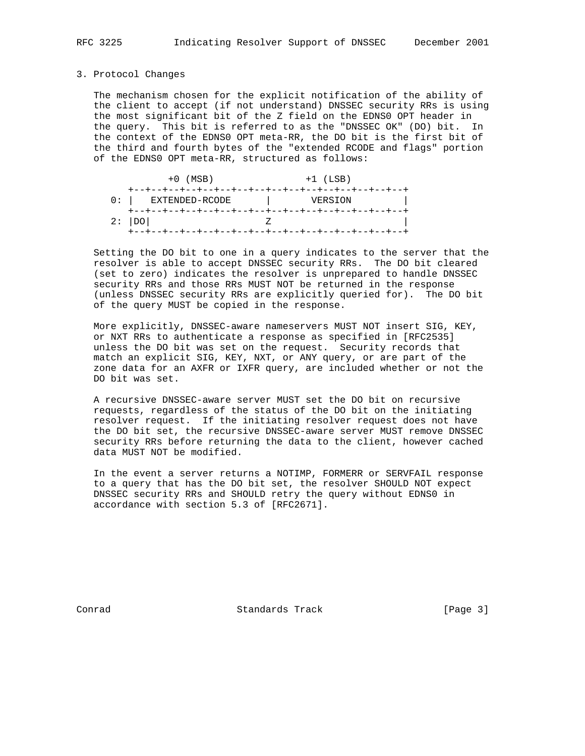#### 3. Protocol Changes

 The mechanism chosen for the explicit notification of the ability of the client to accept (if not understand) DNSSEC security RRs is using the most significant bit of the Z field on the EDNS0 OPT header in the query. This bit is referred to as the "DNSSEC OK" (DO) bit. In the context of the EDNS0 OPT meta-RR, the DO bit is the first bit of the third and fourth bytes of the "extended RCODE and flags" portion of the EDNS0 OPT meta-RR, structured as follows:

| $+0$ (MSB)          | $+1$ (LSB) |  |
|---------------------|------------|--|
| $0:$ EXTENDED-RCODE | VERSION    |  |
| 2:  DO              |            |  |

 Setting the DO bit to one in a query indicates to the server that the resolver is able to accept DNSSEC security RRs. The DO bit cleared (set to zero) indicates the resolver is unprepared to handle DNSSEC security RRs and those RRs MUST NOT be returned in the response (unless DNSSEC security RRs are explicitly queried for). The DO bit of the query MUST be copied in the response.

 More explicitly, DNSSEC-aware nameservers MUST NOT insert SIG, KEY, or NXT RRs to authenticate a response as specified in [RFC2535] unless the DO bit was set on the request. Security records that match an explicit SIG, KEY, NXT, or ANY query, or are part of the zone data for an AXFR or IXFR query, are included whether or not the DO bit was set.

 A recursive DNSSEC-aware server MUST set the DO bit on recursive requests, regardless of the status of the DO bit on the initiating resolver request. If the initiating resolver request does not have the DO bit set, the recursive DNSSEC-aware server MUST remove DNSSEC security RRs before returning the data to the client, however cached data MUST NOT be modified.

 In the event a server returns a NOTIMP, FORMERR or SERVFAIL response to a query that has the DO bit set, the resolver SHOULD NOT expect DNSSEC security RRs and SHOULD retry the query without EDNS0 in accordance with section 5.3 of [RFC2671].

Conrad **Standards Track** [Page 3]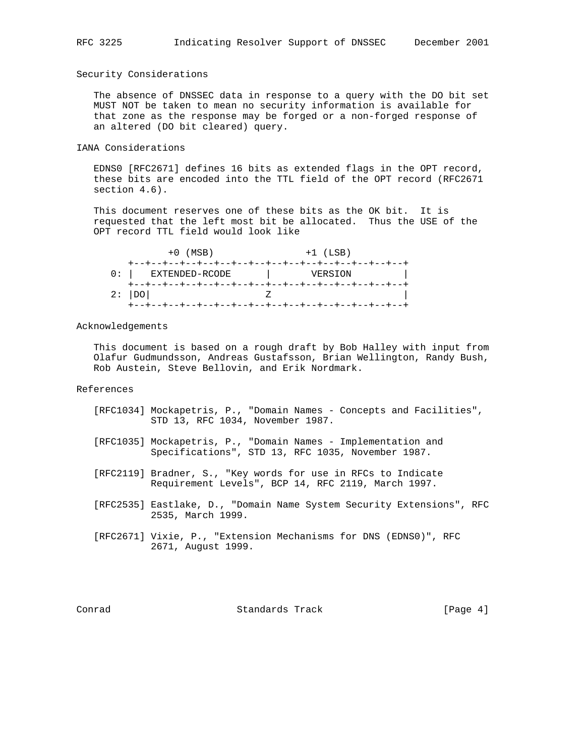#### Security Considerations

 The absence of DNSSEC data in response to a query with the DO bit set MUST NOT be taken to mean no security information is available for that zone as the response may be forged or a non-forged response of an altered (DO bit cleared) query.

## IANA Considerations

 EDNS0 [RFC2671] defines 16 bits as extended flags in the OPT record, these bits are encoded into the TTL field of the OPT record (RFC2671 section  $4.6$ ).

 This document reserves one of these bits as the OK bit. It is requested that the left most bit be allocated. Thus the USE of the OPT record TTL field would look like

| $+0$ (MSB)          | $+1$ (LSB) |  |
|---------------------|------------|--|
| $0:$ EXTENDED-RCODE | VERSION    |  |
| 2:  DO              |            |  |
|                     |            |  |

#### Acknowledgements

 This document is based on a rough draft by Bob Halley with input from Olafur Gudmundsson, Andreas Gustafsson, Brian Wellington, Randy Bush, Rob Austein, Steve Bellovin, and Erik Nordmark.

## References

- [RFC1034] Mockapetris, P., "Domain Names Concepts and Facilities", STD 13, RFC 1034, November 1987.
- [RFC1035] Mockapetris, P., "Domain Names Implementation and Specifications", STD 13, RFC 1035, November 1987.
- [RFC2119] Bradner, S., "Key words for use in RFCs to Indicate Requirement Levels", BCP 14, RFC 2119, March 1997.
- [RFC2535] Eastlake, D., "Domain Name System Security Extensions", RFC 2535, March 1999.
- [RFC2671] Vixie, P., "Extension Mechanisms for DNS (EDNS0)", RFC 2671, August 1999.

Conrad **Standards Track** [Page 4]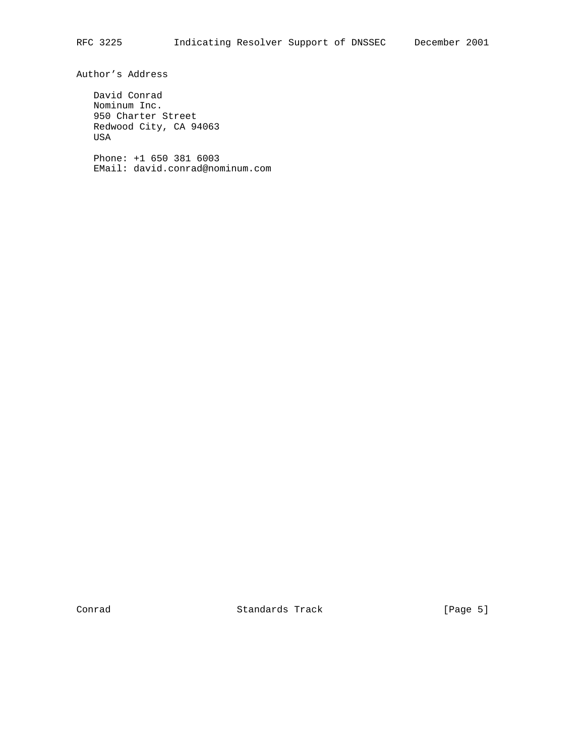Author's Address

 David Conrad Nominum Inc. 950 Charter Street Redwood City, CA 94063 USA

 Phone: +1 650 381 6003 EMail: david.conrad@nominum.com

Conrad Conrad Standards Track [Page 5]